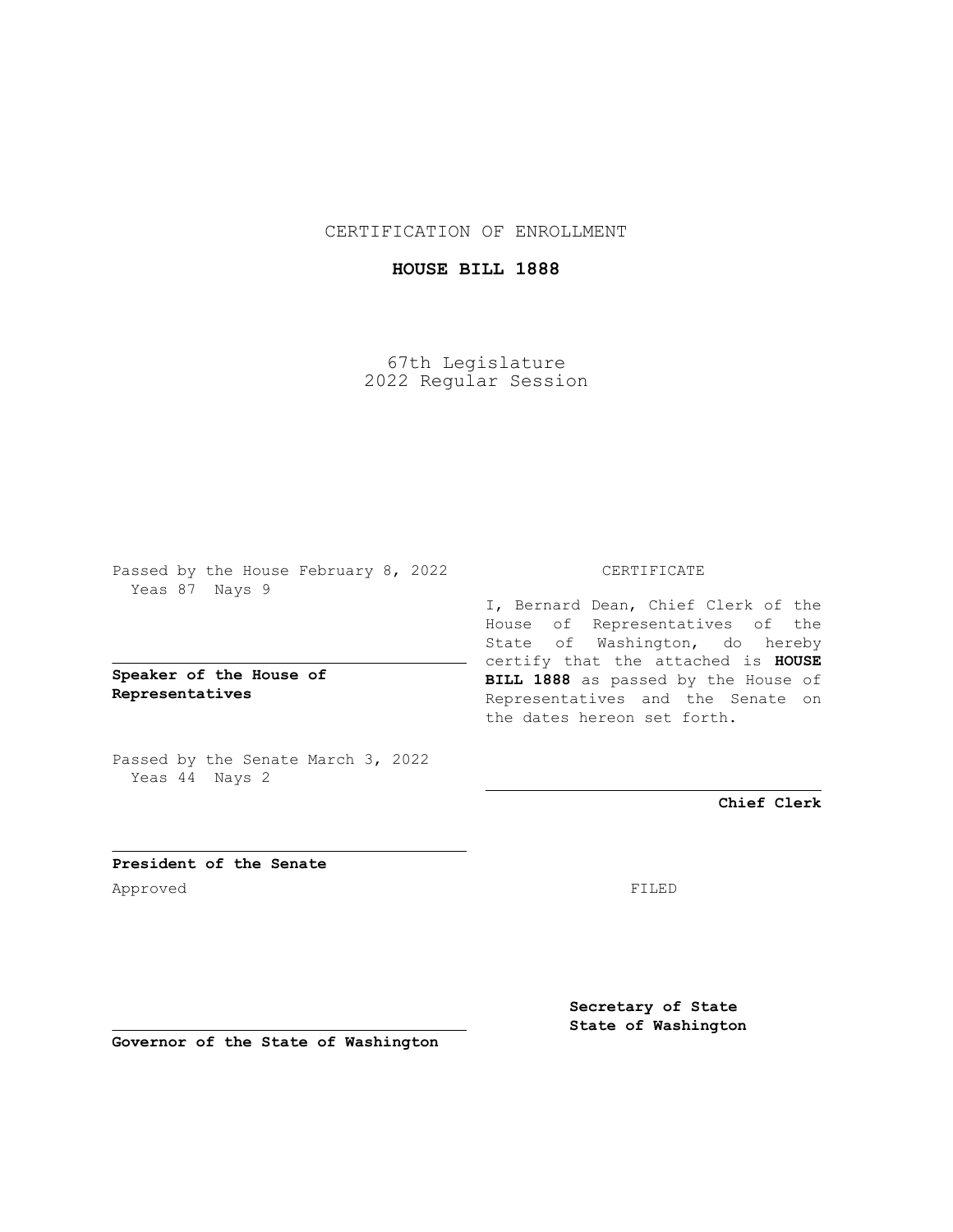CERTIFICATION OF ENROLLMENT

## **HOUSE BILL 1888**

67th Legislature 2022 Regular Session

Passed by the House February 8, 2022 Yeas 87 Nays 9

**Speaker of the House of Representatives**

Passed by the Senate March 3, 2022 Yeas 44 Nays 2

## CERTIFICATE

I, Bernard Dean, Chief Clerk of the House of Representatives of the State of Washington, do hereby certify that the attached is **HOUSE BILL 1888** as passed by the House of Representatives and the Senate on the dates hereon set forth.

**Chief Clerk**

**President of the Senate** Approved FILED

**Secretary of State State of Washington**

**Governor of the State of Washington**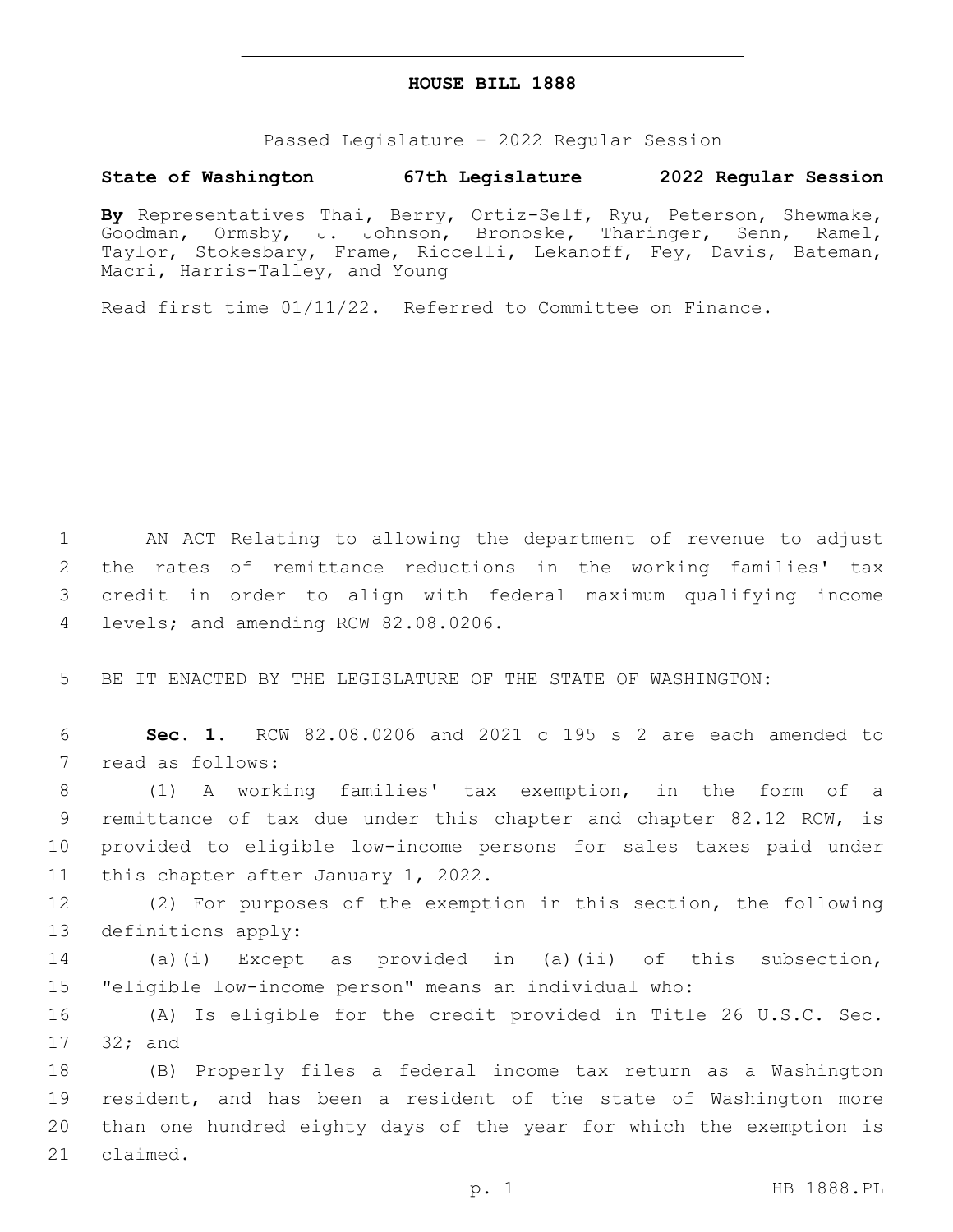## **HOUSE BILL 1888**

Passed Legislature - 2022 Regular Session

## **State of Washington 67th Legislature 2022 Regular Session**

**By** Representatives Thai, Berry, Ortiz-Self, Ryu, Peterson, Shewmake, Goodman, Ormsby, J. Johnson, Bronoske, Tharinger, Senn, Ramel, Taylor, Stokesbary, Frame, Riccelli, Lekanoff, Fey, Davis, Bateman, Macri, Harris-Talley, and Young

Read first time 01/11/22. Referred to Committee on Finance.

 AN ACT Relating to allowing the department of revenue to adjust the rates of remittance reductions in the working families' tax credit in order to align with federal maximum qualifying income 4 levels; and amending RCW 82.08.0206.

5 BE IT ENACTED BY THE LEGISLATURE OF THE STATE OF WASHINGTON:

6 **Sec. 1.** RCW 82.08.0206 and 2021 c 195 s 2 are each amended to 7 read as follows:

 (1) A working families' tax exemption, in the form of a remittance of tax due under this chapter and chapter 82.12 RCW, is provided to eligible low-income persons for sales taxes paid under 11 this chapter after January 1, 2022.

12 (2) For purposes of the exemption in this section, the following 13 definitions apply:

14 (a)(i) Except as provided in (a)(ii) of this subsection, 15 "eligible low-income person" means an individual who:

16 (A) Is eligible for the credit provided in Title 26 U.S.C. Sec. 17 32; and

 (B) Properly files a federal income tax return as a Washington resident, and has been a resident of the state of Washington more than one hundred eighty days of the year for which the exemption is 21 claimed.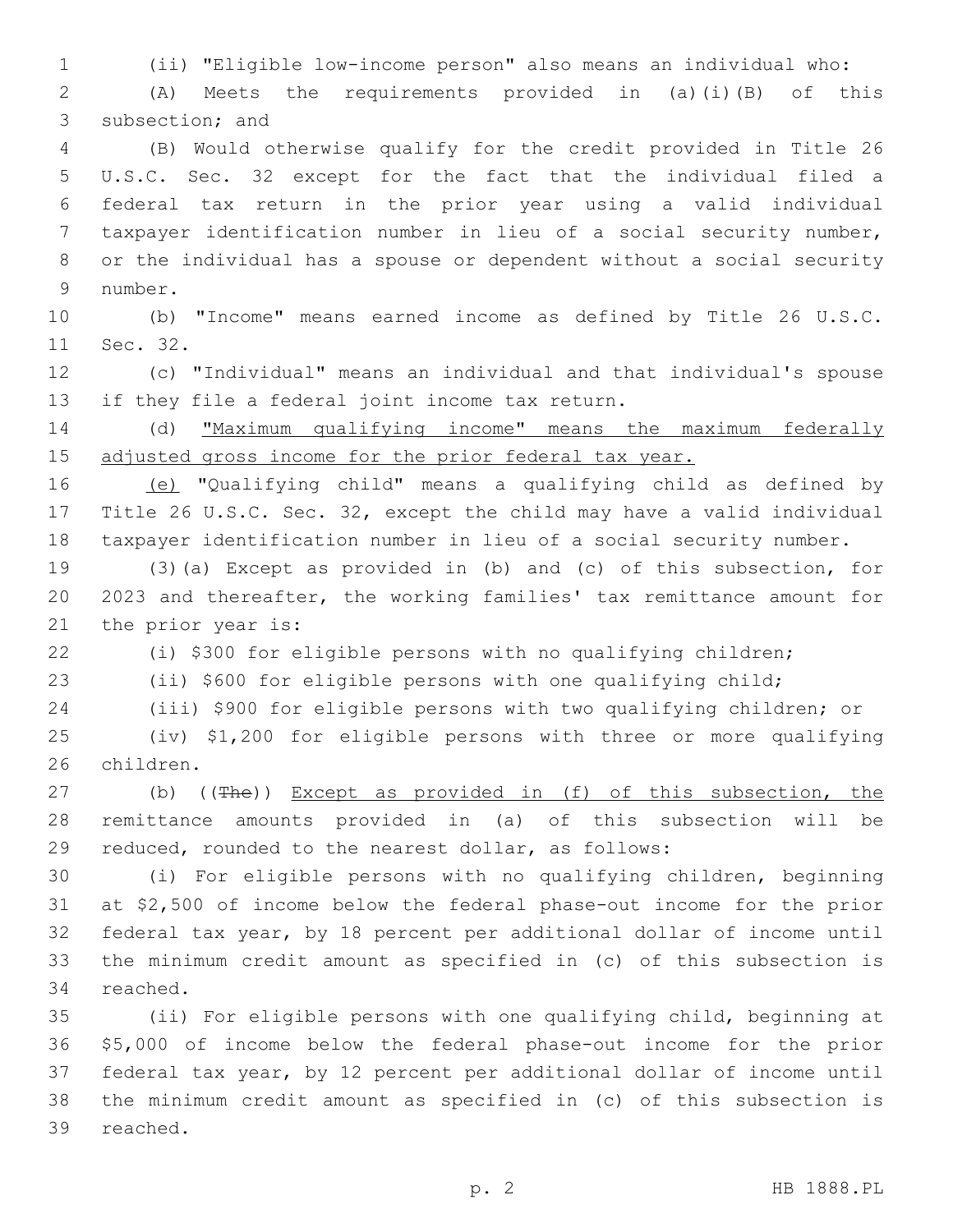(ii) "Eligible low-income person" also means an individual who:

 (A) Meets the requirements provided in (a)(i)(B) of this 3 subsection; and (B) Would otherwise qualify for the credit provided in Title 26

 U.S.C. Sec. 32 except for the fact that the individual filed a federal tax return in the prior year using a valid individual taxpayer identification number in lieu of a social security number, or the individual has a spouse or dependent without a social security 9 number.

 (b) "Income" means earned income as defined by Title 26 U.S.C. 11 Sec. 32.

 (c) "Individual" means an individual and that individual's spouse 13 if they file a federal joint income tax return.

 (d) "Maximum qualifying income" means the maximum federally 15 adjusted gross income for the prior federal tax year.

 (e) "Qualifying child" means a qualifying child as defined by Title 26 U.S.C. Sec. 32, except the child may have a valid individual taxpayer identification number in lieu of a social security number.

 (3)(a) Except as provided in (b) and (c) of this subsection, for 2023 and thereafter, the working families' tax remittance amount for 21 the prior year is:

(i) \$300 for eligible persons with no qualifying children;

(ii) \$600 for eligible persons with one qualifying child;

(iii) \$900 for eligible persons with two qualifying children; or

 (iv) \$1,200 for eligible persons with three or more qualifying 26 children.

27 (b) ((The)) Except as provided in (f) of this subsection, the remittance amounts provided in (a) of this subsection will be reduced, rounded to the nearest dollar, as follows:

 (i) For eligible persons with no qualifying children, beginning at \$2,500 of income below the federal phase-out income for the prior federal tax year, by 18 percent per additional dollar of income until the minimum credit amount as specified in (c) of this subsection is 34 reached.

 (ii) For eligible persons with one qualifying child, beginning at \$5,000 of income below the federal phase-out income for the prior federal tax year, by 12 percent per additional dollar of income until the minimum credit amount as specified in (c) of this subsection is 39 reached.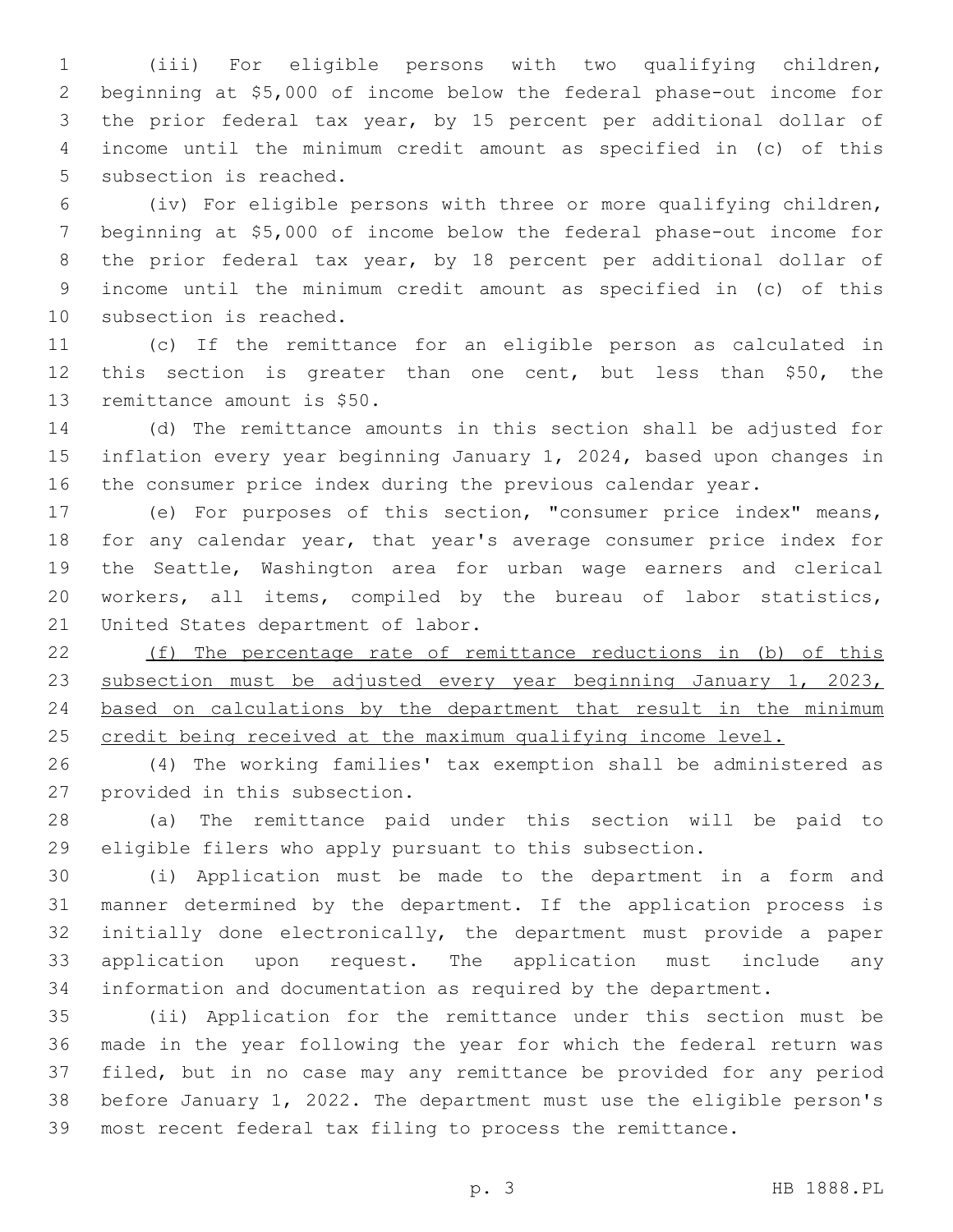(iii) For eligible persons with two qualifying children, beginning at \$5,000 of income below the federal phase-out income for the prior federal tax year, by 15 percent per additional dollar of income until the minimum credit amount as specified in (c) of this 5 subsection is reached.

 (iv) For eligible persons with three or more qualifying children, beginning at \$5,000 of income below the federal phase-out income for the prior federal tax year, by 18 percent per additional dollar of income until the minimum credit amount as specified in (c) of this 10 subsection is reached.

 (c) If the remittance for an eligible person as calculated in this section is greater than one cent, but less than \$50, the 13 remittance amount is \$50.

 (d) The remittance amounts in this section shall be adjusted for inflation every year beginning January 1, 2024, based upon changes in the consumer price index during the previous calendar year.

 (e) For purposes of this section, "consumer price index" means, for any calendar year, that year's average consumer price index for the Seattle, Washington area for urban wage earners and clerical workers, all items, compiled by the bureau of labor statistics, 21 United States department of labor.

 (f) The percentage rate of remittance reductions in (b) of this 23 subsection must be adjusted every year beginning January 1, 2023, based on calculations by the department that result in the minimum credit being received at the maximum qualifying income level.

 (4) The working families' tax exemption shall be administered as 27 provided in this subsection.

 (a) The remittance paid under this section will be paid to eligible filers who apply pursuant to this subsection.

 (i) Application must be made to the department in a form and manner determined by the department. If the application process is initially done electronically, the department must provide a paper application upon request. The application must include any information and documentation as required by the department.

 (ii) Application for the remittance under this section must be made in the year following the year for which the federal return was filed, but in no case may any remittance be provided for any period before January 1, 2022. The department must use the eligible person's most recent federal tax filing to process the remittance.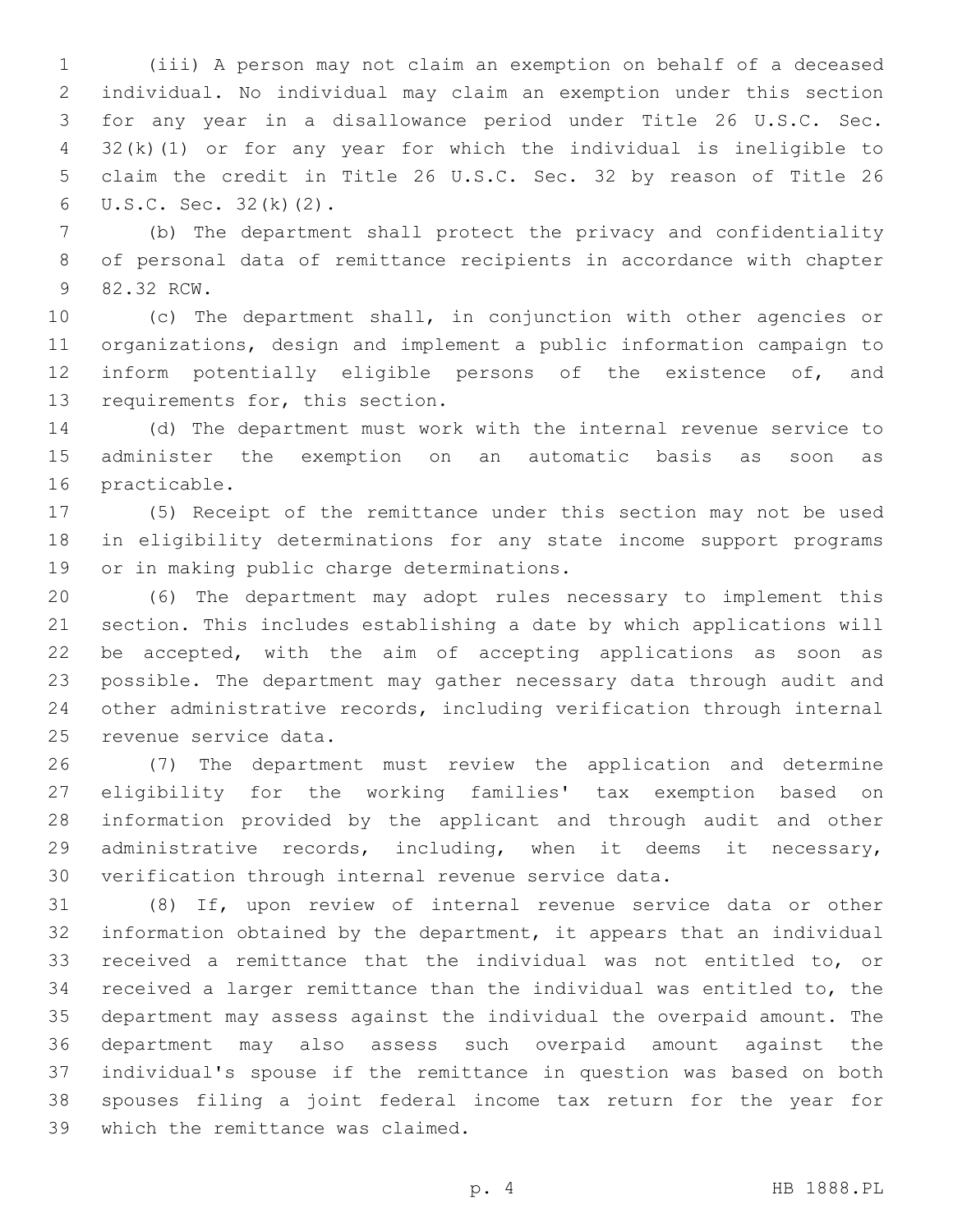(iii) A person may not claim an exemption on behalf of a deceased individual. No individual may claim an exemption under this section for any year in a disallowance period under Title 26 U.S.C. Sec. 32(k)(1) or for any year for which the individual is ineligible to claim the credit in Title 26 U.S.C. Sec. 32 by reason of Title 26  $U.S.C.$  Sec.  $32(k)(2)$ .

 (b) The department shall protect the privacy and confidentiality of personal data of remittance recipients in accordance with chapter 9 82.32 RCW.

 (c) The department shall, in conjunction with other agencies or organizations, design and implement a public information campaign to inform potentially eligible persons of the existence of, and 13 requirements for, this section.

 (d) The department must work with the internal revenue service to administer the exemption on an automatic basis as soon as 16 practicable.

 (5) Receipt of the remittance under this section may not be used in eligibility determinations for any state income support programs 19 or in making public charge determinations.

 (6) The department may adopt rules necessary to implement this section. This includes establishing a date by which applications will be accepted, with the aim of accepting applications as soon as possible. The department may gather necessary data through audit and other administrative records, including verification through internal 25 revenue service data.

 (7) The department must review the application and determine eligibility for the working families' tax exemption based on information provided by the applicant and through audit and other administrative records, including, when it deems it necessary, verification through internal revenue service data.

 (8) If, upon review of internal revenue service data or other information obtained by the department, it appears that an individual received a remittance that the individual was not entitled to, or received a larger remittance than the individual was entitled to, the department may assess against the individual the overpaid amount. The department may also assess such overpaid amount against the individual's spouse if the remittance in question was based on both spouses filing a joint federal income tax return for the year for 39 which the remittance was claimed.